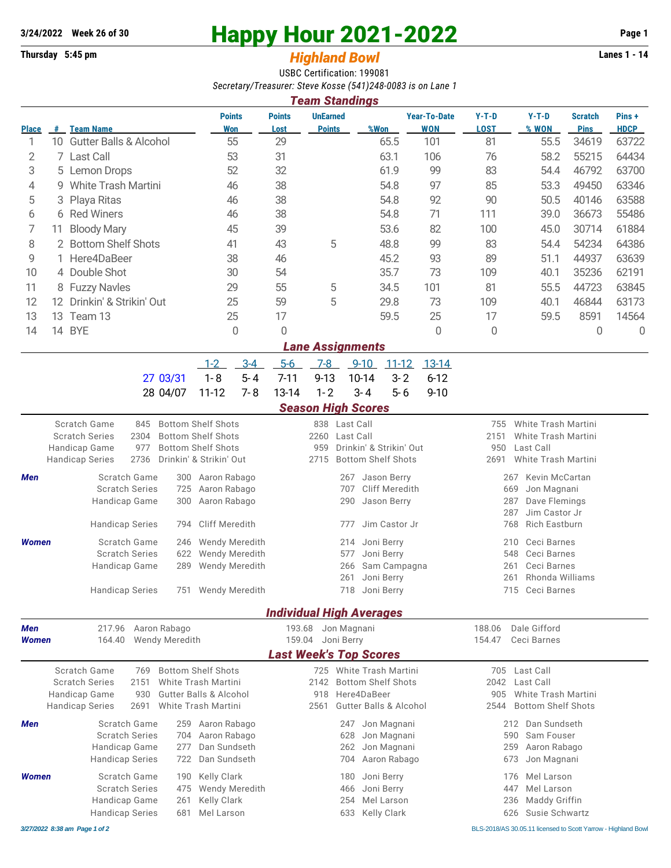## **3/24/2022** Week 26 of 30<br> **Happy Hour 2021-2022** Page 1<br> **Highland Rowl Lanes 1 - 14**<br>
Lanes 1 - 14

## **Thursday 5:45 pm Highland Bowl**

USBC Certification: 199081 *Secretary/Treasurer: Steve Kosse (541)248-0083 is on Lane 1*

| <b>Team Standings</b> |      |                                   |                             |                       |                                  |      |                                   |                        |                  |                               |                      |
|-----------------------|------|-----------------------------------|-----------------------------|-----------------------|----------------------------------|------|-----------------------------------|------------------------|------------------|-------------------------------|----------------------|
| <b>Place</b>          | #    | <b>Team Name</b>                  | <b>Points</b><br><b>Won</b> | <b>Points</b><br>Lost | <b>UnEarned</b><br><b>Points</b> | %Won | <b>Year-To-Date</b><br><b>WON</b> | $Y-T-D$<br><b>LOST</b> | $Y-T-D$<br>% WON | <b>Scratch</b><br><b>Pins</b> | Pins+<br><b>HDCP</b> |
|                       |      |                                   |                             |                       |                                  |      |                                   |                        |                  |                               |                      |
|                       | 10   | <b>Gutter Balls &amp; Alcohol</b> | 55                          | 29                    |                                  | 65.5 | 101                               | 81                     | 55.5             | 34619                         | 63722                |
| 2                     |      | 7 Last Call                       | 53                          | 31                    |                                  | 63.1 | 106                               | 76                     | 58.2             | 55215                         | 64434                |
| 3                     |      | 5 Lemon Drops                     | 52                          | 32                    |                                  | 61.9 | 99                                | 83                     | 54.4             | 46792                         | 63700                |
| 4                     | g    | White Trash Martini               | 46                          | 38                    |                                  | 54.8 | 97                                | 85                     | 53.3             | 49450                         | 63346                |
| 5                     |      | 3 Playa Ritas                     | 46                          | 38                    |                                  | 54.8 | 92                                | 90                     | 50.5             | 40146                         | 63588                |
| 6                     |      | 6 Red Winers                      | 46                          | 38                    |                                  | 54.8 | 71                                | 111                    | 39.0             | 36673                         | 55486                |
|                       | 11.  | <b>Bloody Mary</b>                | 45                          | 39                    |                                  | 53.6 | 82                                | 100                    | 45.0             | 30714                         | 61884                |
| 8                     |      | 2 Bottom Shelf Shots              | 41                          | 43                    | 5                                | 48.8 | 99                                | 83                     | 54.4             | 54234                         | 64386                |
| 9                     |      | 1 Here4DaBeer                     | 38                          | 46                    |                                  | 45.2 | 93                                | 89                     | 51.1             | 44937                         | 63639                |
| 10                    |      | 4 Double Shot                     | 30                          | 54                    |                                  | 35.7 | 73                                | 109                    | 40.1             | 35236                         | 62191                |
| 11                    |      | 8 Fuzzy Navles                    | 29                          | 55                    | 5                                | 34.5 | 101                               | 81                     | 55.5             | 44723                         | 63845                |
| 12                    | 12.  | Drinkin' & Strikin' Out           | 25                          | 59                    | 5                                | 29.8 | 73                                | 109                    | 40.1             | 46844                         | 63173                |
| 13                    | 13 - | Team 13                           | 25                          | 17                    |                                  | 59.5 | 25                                | 17                     | 59.5             | 8591                          | 14564                |
| 14                    | 14   | <b>BYE</b>                        | 0                           | $\Omega$              |                                  |      | 0                                 | 0                      |                  | 0                             | O                    |
|                       |      |                                   |                             |                       | <b>Lane Assignments</b>          |      |                                   |                        |                  |                               |                      |

|                                                  |  | <u>1-2 3-4 5-6 7-8 9-10 11-12 13-14</u> |  |  |
|--------------------------------------------------|--|-----------------------------------------|--|--|
| 27 03/31  1-8  5-4  7-11  9-13  10-14  3-2  6-12 |  |                                         |  |  |
| 28 04/07 11-12 7-8 13-14 1-2 3-4 5-6 9-10        |  |                                         |  |  |

## *Season High Scores*

| ucasun myn ucurcs                       |                                                                                  |                                                                                                                       |                                                   |                                                                                                         |                                 |                                                                                              |  |  |  |  |  |
|-----------------------------------------|----------------------------------------------------------------------------------|-----------------------------------------------------------------------------------------------------------------------|---------------------------------------------------|---------------------------------------------------------------------------------------------------------|---------------------------------|----------------------------------------------------------------------------------------------|--|--|--|--|--|
| Handicap Game<br><b>Handicap Series</b> | Scratch Game<br>845<br><b>Scratch Series</b><br>2304<br>977<br>2736              | <b>Bottom Shelf Shots</b><br><b>Bottom Shelf Shots</b><br><b>Bottom Shelf Shots</b><br>Drinkin' & Strikin' Out        | 2260<br>959<br>2715                               | 838 Last Call<br>Last Call<br>Drinkin' & Strikin' Out<br><b>Bottom Shelf Shots</b>                      | 755<br>2151<br>950<br>2691      | White Trash Martini<br><b>White Trash Martini</b><br>Last Call<br><b>White Trash Martini</b> |  |  |  |  |  |
| <b>Men</b>                              | Scratch Game<br><b>Scratch Series</b><br>Handicap Game<br><b>Handicap Series</b> | 300<br>Aaron Rabago<br>Aaron Rabago<br>725<br>Aaron Rabago<br>300<br><b>Cliff Meredith</b><br>794                     |                                                   | 267<br>Jason Berry<br>Cliff Meredith<br>707<br>Jason Berry<br>290<br>Jim Castor Jr<br>777               | 267<br>669<br>287<br>287<br>768 | Kevin McCartan<br>Jon Magnani<br>Dave Flemings<br>Jim Castor Jr<br><b>Rich Eastburn</b>      |  |  |  |  |  |
| <b>Women</b>                            | Scratch Game<br><b>Scratch Series</b><br>Handicap Game<br><b>Handicap Series</b> | <b>Wendy Meredith</b><br>246<br><b>Wendy Meredith</b><br>622<br>Wendy Meredith<br>289<br><b>Wendy Meredith</b><br>751 |                                                   | Joni Berry<br>214<br>Joni Berry<br>577<br>Sam Campagna<br>266<br>Joni Berry<br>261<br>Joni Berry<br>718 | 210<br>548<br>261<br>261<br>715 | Ceci Barnes<br>Ceci Barnes<br>Ceci Barnes<br>Rhonda Williams<br>Ceci Barnes                  |  |  |  |  |  |
|                                         | <b>Individual High Averages</b>                                                  |                                                                                                                       |                                                   |                                                                                                         |                                 |                                                                                              |  |  |  |  |  |
| <b>Men</b><br><b>Women</b>              | 217.96<br>164.40                                                                 | Aaron Rabago<br><b>Wendy Meredith</b>                                                                                 | 193.68<br>159.04<br><b>Last Week's Top Scores</b> | Jon Magnani<br>Joni Berry                                                                               | 188.06<br>154.47                | Dale Gifford<br>Ceci Barnes                                                                  |  |  |  |  |  |
| Handicap Game<br><b>Handicap Series</b> | Scratch Game<br>769<br><b>Scratch Series</b><br>2151<br>930<br>2691              | <b>Bottom Shelf Shots</b><br>White Trash Martini<br><b>Gutter Balls &amp; Alcohol</b><br>White Trash Martini          | 725<br>2142<br>918<br>2561                        | White Trash Martini<br><b>Bottom Shelf Shots</b><br>Here4DaBeer<br><b>Gutter Balls &amp; Alcohol</b>    | 705<br>2042<br>905<br>2544      | Last Call<br>Last Call<br>White Trash Martini<br><b>Bottom Shelf Shots</b>                   |  |  |  |  |  |
| Men                                     | Scratch Game<br><b>Scratch Series</b><br>Handicap Game<br><b>Handicap Series</b> | Aaron Rabago<br>259<br>Aaron Rabago<br>704<br>Dan Sundseth<br>277<br>Dan Sundseth<br>722                              |                                                   | Jon Magnani<br>247<br>Jon Magnani<br>628<br>Jon Magnani<br>262<br>Aaron Rabago<br>704                   | 212<br>590<br>259<br>673        | Dan Sundseth<br>Sam Fouser<br>Aaron Rabago<br>Jon Magnani                                    |  |  |  |  |  |
| <b>Women</b>                            | Scratch Game<br><b>Scratch Series</b><br>Handicap Game<br><b>Handicap Series</b> | Kelly Clark<br>190<br>Wendy Meredith<br>475<br><b>Kelly Clark</b><br>261<br>Mel Larson<br>681                         |                                                   | Joni Berry<br>180<br>Joni Berry<br>466<br>Mel Larson<br>254<br>Kelly Clark<br>633                       | 176<br>447<br>236<br>626        | Mel Larson<br>Mel Larson<br>Maddy Griffin<br>Susie Schwartz                                  |  |  |  |  |  |